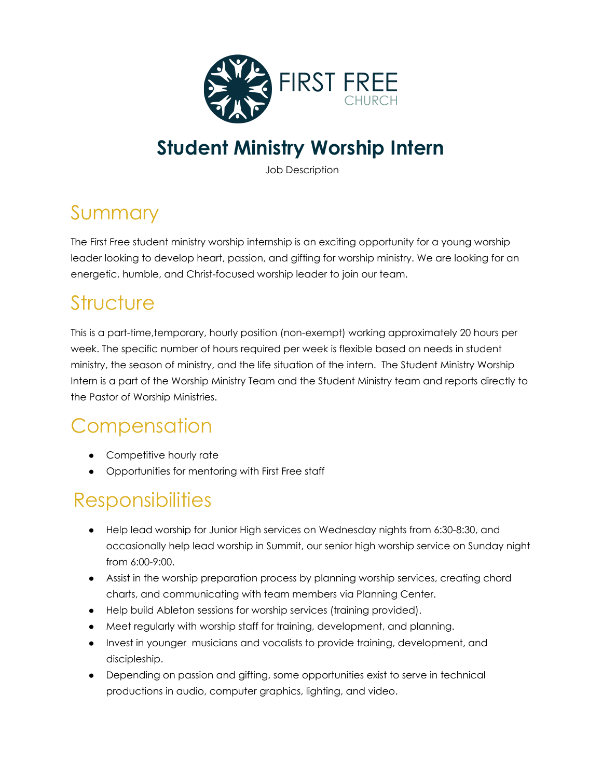

# **Student Ministry Worship Intern**

Job Description

### Summary

The First Free student ministry worship internship is an exciting opportunity for a young worship leader looking to develop heart, passion, and gifting for worship ministry. We are looking for an energetic, humble, and Christ-focused worship leader to join our team.

### **Structure**

This is a part-time,temporary, hourly position (non-exempt) working approximately 20 hours per week. The specific number of hours required per week is flexible based on needs in student ministry, the season of ministry, and the life situation of the intern. The Student Ministry Worship Intern is a part of the Worship Ministry Team and the Student Ministry team and reports directly to the Pastor of Worship Ministries.

## **Compensation**

- Competitive hourly rate
- Opportunities for mentoring with First Free staff

### **Responsibilities**

- Help lead worship for Junior High services on Wednesday nights from 6:30-8:30, and occasionally help lead worship in Summit, our senior high worship service on Sunday night from 6:00-9:00.
- Assist in the worship preparation process by planning worship services, creating chord charts, and communicating with team members via Planning Center.
- Help build Ableton sessions for worship services (training provided).
- Meet regularly with worship staff for training, development, and planning.
- Invest in younger musicians and vocalists to provide training, development, and discipleship.
- Depending on passion and gifting, some opportunities exist to serve in technical productions in audio, computer graphics, lighting, and video.